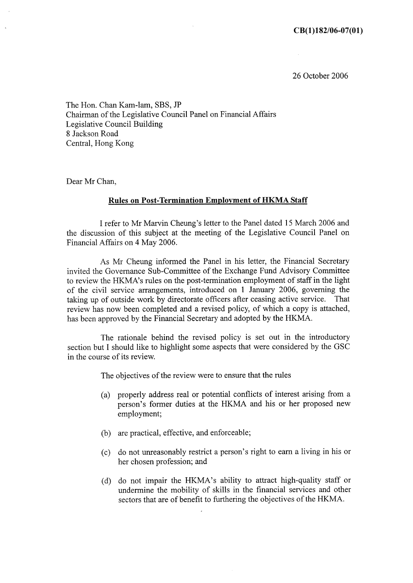26 October 2006

The Hon. Chan Kam-lam, SBS, JP Chairman of the Legislative Council Panel on Financial Affairs Legislative Council Building 8 Jackson Road Central, Hong Kong

Dear Mr Chan.

### **Rules on Post-Termination Employment of HKMA Staff**

I refer to Mr Marvin Cheung's letter to the Panel dated 15 March 2006 and the discussion of this subject at the meeting of the Legislative Council Panel on Financial Affairs on 4 May 2006.

As Mr Cheung informed the Panel in his letter, the Financial Secretary invited the Governance Sub-Committee of the Exchange Fund Advisory Committee to review the HKMA's rules on the post-termination employment of staff in the light of the civil service arrangements, introduced on 1 January 2006, governing the taking up of outside work by directorate officers after ceasing active service. That review has now been completed and a revised policy, of which a copy is attached, has been approved by the Financial Secretary and adopted by the HKMA.

The rationale behind the revised policy is set out in the introductory section but I should like to highlight some aspects that were considered by the GSC in the course of its review.

The objectives of the review were to ensure that the rules

- (a) properly address real or potential conflicts of interest arising from a person's former duties at the HKMA and his or her proposed new employment;
- (b) are practical, effective, and enforceable;
- (c) do not unreasonably restrict a person's right to earn a living in his or her chosen profession; and
- (d) do not impair the HKMA's ability to attract high-quality staff or undermine the mobility of skills in the financial services and other sectors that are of benefit to furthering the objectives of the HKMA.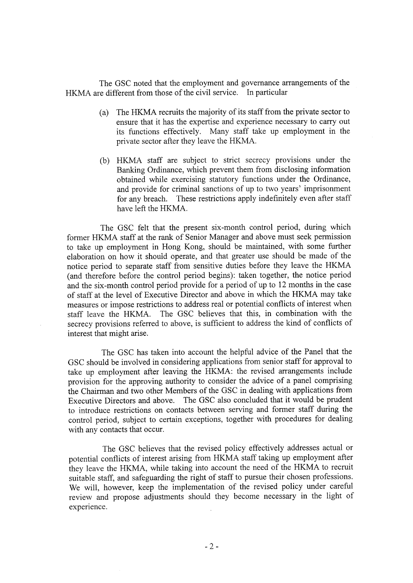The GSC noted that the employment and governance arrangements of the HKMA are different from those of the civil service. In particular

- (a) The HKMA recruits the majority of its staff from the private sector to ensure that it has the expertise and experience necessary to carry out its functions effectively. Many staff take up employment in the private sector after they leave the HKMA.
- (b) HKMA staff are subject to strict secrecy provisions under the Banking Ordinance, which prevent them from disclosing information obtained while exercising statutory functions under the Ordinance, and provide for criminal sanctions of up to two years' imprisonment for any breach. These restrictions apply indefinitely even after staff have left the HKMA.

The GSC felt that the present six-month control period, during which former HKMA staff at the rank of Senior Manager and above must seek permission to take up employment in Hong Kong, should be maintained, with some further elaboration on how it should operate, and that greater use should be made of the notice period to separate staff from sensitive duties before they leave the HKMA (and therefore before the control period begins): taken together, the notice period and the six-month control period provide for a period of up to 12 months in the case of staff at the level of Executive Director and above in which the HKMA may take measures or impose restrictions to address real or potential conflicts of interest when staff leave the HKMA. The GSC believes that this, in combination with the secrecy provisions referred to above, is sufficient to address the kind of conflicts of interest that might arise.

The GSC has taken into account the helpful advice of the Panel that the GSC should be involved in considering applications from senior staff for approval to take up employment after leaving the HKMA: the revised arrangements include provision for the approving authority to consider the advice of a panel comprising the Chairman and two other Members of the GSC in dealing with applications from Executive Directors and above. The GSC also concluded that it would be prudent to introduce restrictions on contacts between serving and former staff during the control period, subject to certain exceptions, together with procedures for dealing with any contacts that occur.

The GSC believes that the revised policy effectively addresses actual or potential conflicts of interest arising from HKMA staff taking up employment after they leave the HKMA, while taking into account the need of the HKMA to recruit suitable staff, and safeguarding the right of staff to pursue their chosen professions. We will, however, keep the implementation of the revised policy under careful review and propose adjustments should they become necessary in the light of experience.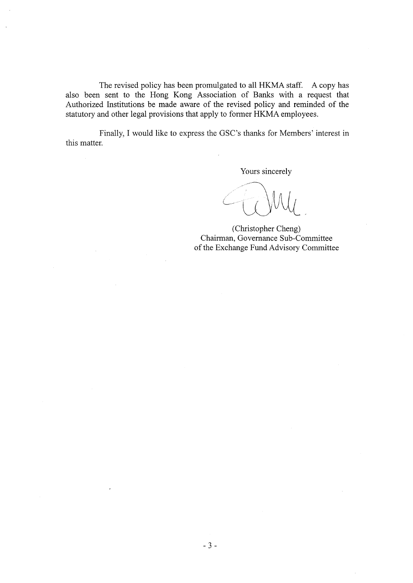The revised policy has been promulgated to all HKMA staff. A copy has also been sent to the Hong Kong Association of Banks with a request that Authorized Institutions be made aware of the revised policy and reminded of the statutory and other legal provisions that apply to former HKMA employees.

Finally, I would like to express the GSC's thanks for Members' interest in this matter.

Yours sincerely

(Christopher Cheng) Chairman, Governance Sub-Committee of the Exchange Fund Advisory Committee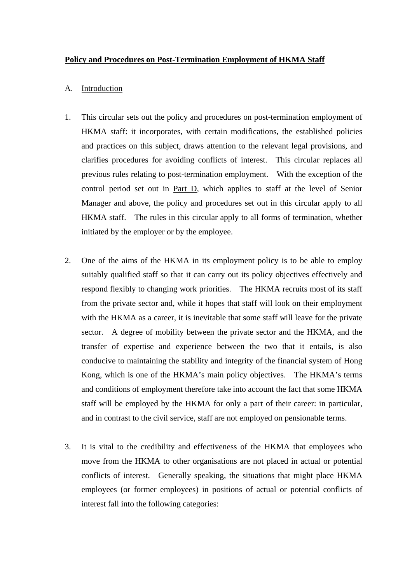## **Policy and Procedures on Post-Termination Employment of HKMA Staff**

### A. Introduction

- 1. This circular sets out the policy and procedures on post-termination employment of HKMA staff: it incorporates, with certain modifications, the established policies and practices on this subject, draws attention to the relevant legal provisions, and clarifies procedures for avoiding conflicts of interest. This circular replaces all previous rules relating to post-termination employment. With the exception of the control period set out in Part D, which applies to staff at the level of Senior Manager and above, the policy and procedures set out in this circular apply to all HKMA staff. The rules in this circular apply to all forms of termination, whether initiated by the employer or by the employee.
- 2. One of the aims of the HKMA in its employment policy is to be able to employ suitably qualified staff so that it can carry out its policy objectives effectively and respond flexibly to changing work priorities. The HKMA recruits most of its staff from the private sector and, while it hopes that staff will look on their employment with the HKMA as a career, it is inevitable that some staff will leave for the private sector. A degree of mobility between the private sector and the HKMA, and the transfer of expertise and experience between the two that it entails, is also conducive to maintaining the stability and integrity of the financial system of Hong Kong, which is one of the HKMA's main policy objectives. The HKMA's terms and conditions of employment therefore take into account the fact that some HKMA staff will be employed by the HKMA for only a part of their career: in particular, and in contrast to the civil service, staff are not employed on pensionable terms.
- 3. It is vital to the credibility and effectiveness of the HKMA that employees who move from the HKMA to other organisations are not placed in actual or potential conflicts of interest. Generally speaking, the situations that might place HKMA employees (or former employees) in positions of actual or potential conflicts of interest fall into the following categories: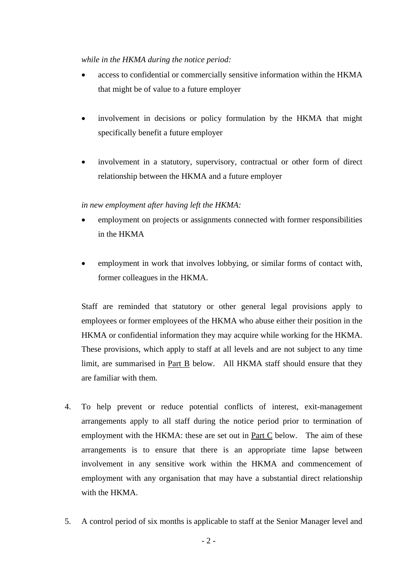*while in the HKMA during the notice period:* 

- access to confidential or commercially sensitive information within the HKMA that might be of value to a future employer
- involvement in decisions or policy formulation by the HKMA that might specifically benefit a future employer
- involvement in a statutory, supervisory, contractual or other form of direct relationship between the HKMA and a future employer

*in new employment after having left the HKMA:*

- employment on projects or assignments connected with former responsibilities in the HKMA
- employment in work that involves lobbying, or similar forms of contact with, former colleagues in the HKMA.

Staff are reminded that statutory or other general legal provisions apply to employees or former employees of the HKMA who abuse either their position in the HKMA or confidential information they may acquire while working for the HKMA. These provisions, which apply to staff at all levels and are not subject to any time limit, are summarised in Part B below. All HKMA staff should ensure that they are familiar with them.

- 4. To help prevent or reduce potential conflicts of interest, exit-management arrangements apply to all staff during the notice period prior to termination of employment with the HKMA: these are set out in Part C below. The aim of these arrangements is to ensure that there is an appropriate time lapse between involvement in any sensitive work within the HKMA and commencement of employment with any organisation that may have a substantial direct relationship with the HKMA
- 5. A control period of six months is applicable to staff at the Senior Manager level and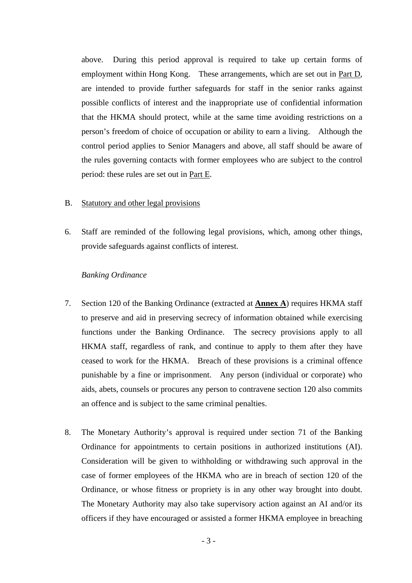above. During this period approval is required to take up certain forms of employment within Hong Kong. These arrangements, which are set out in Part D, are intended to provide further safeguards for staff in the senior ranks against possible conflicts of interest and the inappropriate use of confidential information that the HKMA should protect, while at the same time avoiding restrictions on a person's freedom of choice of occupation or ability to earn a living. Although the control period applies to Senior Managers and above, all staff should be aware of the rules governing contacts with former employees who are subject to the control period: these rules are set out in Part E.

#### B. Statutory and other legal provisions

6. Staff are reminded of the following legal provisions, which, among other things, provide safeguards against conflicts of interest.

#### *Banking Ordinance*

- 7. Section 120 of the Banking Ordinance (extracted at **Annex A**) requires HKMA staff to preserve and aid in preserving secrecy of information obtained while exercising functions under the Banking Ordinance. The secrecy provisions apply to all HKMA staff, regardless of rank, and continue to apply to them after they have ceased to work for the HKMA. Breach of these provisions is a criminal offence punishable by a fine or imprisonment. Any person (individual or corporate) who aids, abets, counsels or procures any person to contravene section 120 also commits an offence and is subject to the same criminal penalties.
- 8. The Monetary Authority's approval is required under section 71 of the Banking Ordinance for appointments to certain positions in authorized institutions (AI). Consideration will be given to withholding or withdrawing such approval in the case of former employees of the HKMA who are in breach of section 120 of the Ordinance, or whose fitness or propriety is in any other way brought into doubt. The Monetary Authority may also take supervisory action against an AI and/or its officers if they have encouraged or assisted a former HKMA employee in breaching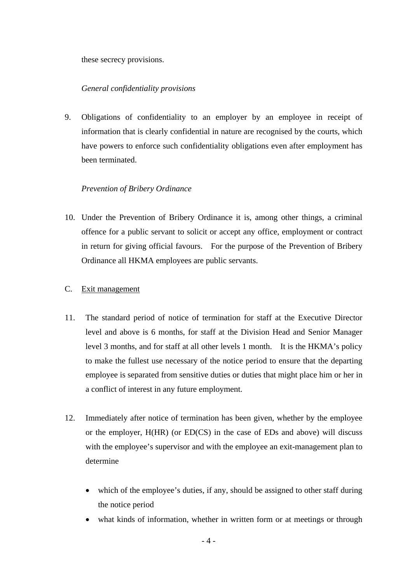these secrecy provisions.

## *General confidentiality provisions*

9. Obligations of confidentiality to an employer by an employee in receipt of information that is clearly confidential in nature are recognised by the courts, which have powers to enforce such confidentiality obligations even after employment has been terminated.

## *Prevention of Bribery Ordinance*

10. Under the Prevention of Bribery Ordinance it is, among other things, a criminal offence for a public servant to solicit or accept any office, employment or contract in return for giving official favours. For the purpose of the Prevention of Bribery Ordinance all HKMA employees are public servants.

## C. Exit management

- 11. The standard period of notice of termination for staff at the Executive Director level and above is 6 months, for staff at the Division Head and Senior Manager level 3 months, and for staff at all other levels 1 month. It is the HKMA's policy to make the fullest use necessary of the notice period to ensure that the departing employee is separated from sensitive duties or duties that might place him or her in a conflict of interest in any future employment.
- 12. Immediately after notice of termination has been given, whether by the employee or the employer, H(HR) (or ED(CS) in the case of EDs and above) will discuss with the employee's supervisor and with the employee an exit-management plan to determine
	- which of the employee's duties, if any, should be assigned to other staff during the notice period
	- what kinds of information, whether in written form or at meetings or through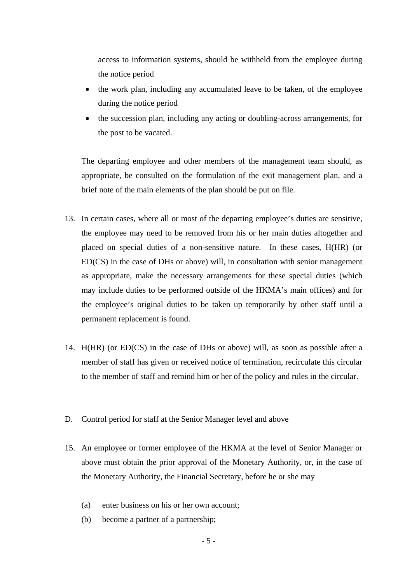access to information systems, should be withheld from the employee during the notice period

- the work plan, including any accumulated leave to be taken, of the employee during the notice period
- the succession plan, including any acting or doubling-across arrangements, for the post to be vacated.

The departing employee and other members of the management team should, as appropriate, be consulted on the formulation of the exit management plan, and a brief note of the main elements of the plan should be put on file.

- 13. In certain cases, where all or most of the departing employee's duties are sensitive, the employee may need to be removed from his or her main duties altogether and placed on special duties of a non-sensitive nature. In these cases, H(HR) (or ED(CS) in the case of DHs or above) will, in consultation with senior management as appropriate, make the necessary arrangements for these special duties (which may include duties to be performed outside of the HKMA's main offices) and for the employee's original duties to be taken up temporarily by other staff until a permanent replacement is found.
- 14. H(HR) (or ED(CS) in the case of DHs or above) will, as soon as possible after a member of staff has given or received notice of termination, recirculate this circular to the member of staff and remind him or her of the policy and rules in the circular.

#### D. Control period for staff at the Senior Manager level and above

- 15. An employee or former employee of the HKMA at the level of Senior Manager or above must obtain the prior approval of the Monetary Authority, or, in the case of the Monetary Authority, the Financial Secretary, before he or she may
	- (a) enter business on his or her own account;
	- (b) become a partner of a partnership;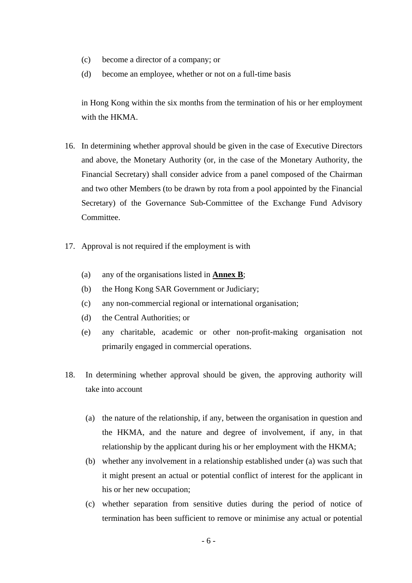- (c) become a director of a company; or
- (d) become an employee, whether or not on a full-time basis

in Hong Kong within the six months from the termination of his or her employment with the HKMA.

- 16. In determining whether approval should be given in the case of Executive Directors and above, the Monetary Authority (or, in the case of the Monetary Authority, the Financial Secretary) shall consider advice from a panel composed of the Chairman and two other Members (to be drawn by rota from a pool appointed by the Financial Secretary) of the Governance Sub-Committee of the Exchange Fund Advisory Committee.
- 17. Approval is not required if the employment is with
	- (a) any of the organisations listed in **Annex B**;
	- (b) the Hong Kong SAR Government or Judiciary;
	- (c) any non-commercial regional or international organisation;
	- (d) the Central Authorities; or
	- (e) any charitable, academic or other non-profit-making organisation not primarily engaged in commercial operations.
- 18. In determining whether approval should be given, the approving authority will take into account
	- (a) the nature of the relationship, if any, between the organisation in question and the HKMA, and the nature and degree of involvement, if any, in that relationship by the applicant during his or her employment with the HKMA;
	- (b) whether any involvement in a relationship established under (a) was such that it might present an actual or potential conflict of interest for the applicant in his or her new occupation;
	- (c) whether separation from sensitive duties during the period of notice of termination has been sufficient to remove or minimise any actual or potential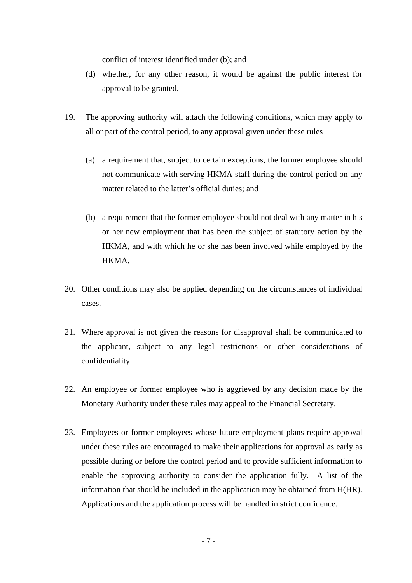conflict of interest identified under (b); and

- (d) whether, for any other reason, it would be against the public interest for approval to be granted.
- 19. The approving authority will attach the following conditions, which may apply to all or part of the control period, to any approval given under these rules
	- (a) a requirement that, subject to certain exceptions, the former employee should not communicate with serving HKMA staff during the control period on any matter related to the latter's official duties; and
	- (b) a requirement that the former employee should not deal with any matter in his or her new employment that has been the subject of statutory action by the HKMA, and with which he or she has been involved while employed by the HKMA.
- 20. Other conditions may also be applied depending on the circumstances of individual cases.
- 21. Where approval is not given the reasons for disapproval shall be communicated to the applicant, subject to any legal restrictions or other considerations of confidentiality.
- 22. An employee or former employee who is aggrieved by any decision made by the Monetary Authority under these rules may appeal to the Financial Secretary.
- 23. Employees or former employees whose future employment plans require approval under these rules are encouraged to make their applications for approval as early as possible during or before the control period and to provide sufficient information to enable the approving authority to consider the application fully. A list of the information that should be included in the application may be obtained from H(HR). Applications and the application process will be handled in strict confidence.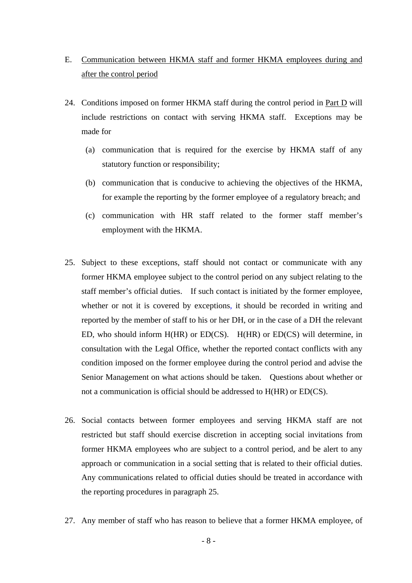- E. Communication between HKMA staff and former HKMA employees during and after the control period
- 24. Conditions imposed on former HKMA staff during the control period in Part D will include restrictions on contact with serving HKMA staff. Exceptions may be made for
	- (a) communication that is required for the exercise by HKMA staff of any statutory function or responsibility;
	- (b) communication that is conducive to achieving the objectives of the HKMA, for example the reporting by the former employee of a regulatory breach; and
	- (c) communication with HR staff related to the former staff member's employment with the HKMA.
- 25. Subject to these exceptions, staff should not contact or communicate with any former HKMA employee subject to the control period on any subject relating to the staff member's official duties. If such contact is initiated by the former employee, whether or not it is covered by exceptions, it should be recorded in writing and reported by the member of staff to his or her DH, or in the case of a DH the relevant ED, who should inform H(HR) or ED(CS). H(HR) or ED(CS) will determine, in consultation with the Legal Office, whether the reported contact conflicts with any condition imposed on the former employee during the control period and advise the Senior Management on what actions should be taken. Questions about whether or not a communication is official should be addressed to H(HR) or ED(CS).
- 26. Social contacts between former employees and serving HKMA staff are not restricted but staff should exercise discretion in accepting social invitations from former HKMA employees who are subject to a control period, and be alert to any approach or communication in a social setting that is related to their official duties. Any communications related to official duties should be treated in accordance with the reporting procedures in paragraph 25.
- 27. Any member of staff who has reason to believe that a former HKMA employee, of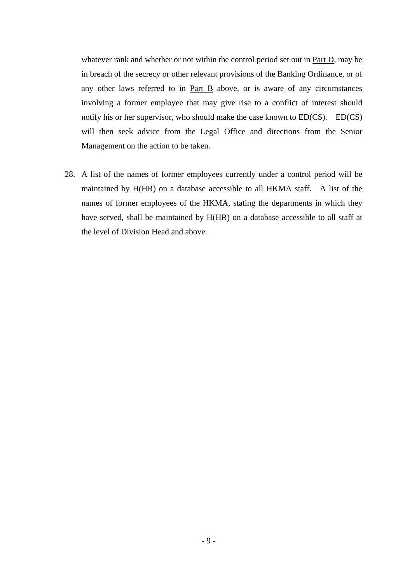whatever rank and whether or not within the control period set out in Part D, may be in breach of the secrecy or other relevant provisions of the Banking Ordinance, or of any other laws referred to in Part B above, or is aware of any circumstances involving a former employee that may give rise to a conflict of interest should notify his or her supervisor, who should make the case known to ED(CS). ED(CS) will then seek advice from the Legal Office and directions from the Senior Management on the action to be taken.

28. A list of the names of former employees currently under a control period will be maintained by H(HR) on a database accessible to all HKMA staff. A list of the names of former employees of the HKMA, stating the departments in which they have served, shall be maintained by H(HR) on a database accessible to all staff at the level of Division Head and above.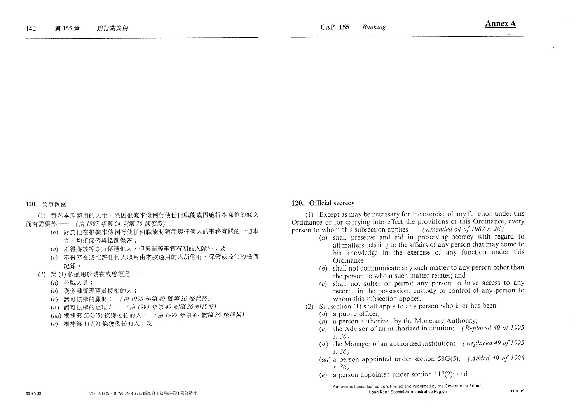#### 120. 公事保密

(1) 每名本款滴用的人士,除因根據本條例行使任何職能或因施行本條例的條文 而有需要外 -- (由 1987年第64 號第26 條修訂)

- (a) 對於他在根據本條例行使任何職能時獲悉與任何人的事務有關的一切事 官,均須保密與協助保密;
- (b) 不得將該等事宜傳達他人,但與該等事宜有關的人除外;及
- (c) 不得容受或准許任何人取用由本款適用的人所管有、保管或控制的任何 紀錄。
- (2) 第(1)款滴用於現在或曾經是 --
	- (a) 公職人員;
	- (b) 獲金融管理專員授權的人;
	- (c) 認可機構的顧問; (由 1995年第49號第36條代替)
	- (d) 認可機構的經理人; (由 1995年第49號第36條代替)
	- (da) 根據第 53G(5) 條獲委任的人; (由 1995年第 49 號第 36 條增補)
	- (e) 根據第 117(2) 條獲委任的人;及

#### 120. Official secrecy

(1) Except as may be necessary for the exercise of any function under this Ordinance or for carrying into effect the provisions of this Ordinance, every person to whom this subsection applies— (Amended 64 of 1987 s. 26)

- (a) shall preserve and aid in preserving secrecy with regard to all matters relating to the affairs of any person that may come to his knowledge in the exercise of any function under this Ordinance:
- $(b)$  shall not communicate any such matter to any person other than the person to whom such matter relates; and
- $(c)$  shall not suffer or permit any person to have access to any records in the possession, custody or control of any person to whom this subsection applies.
- (2) Subsection (1) shall apply to any person who is or has been—
	- $(a)$  a public officer;
	- $(b)$  a person authorized by the Monetary Authority;
	- $(c)$  the Advisor of an authorized institution; (Replaced 49 of 1995)  $s. 36)$
	- (d) the Manager of an authorized institution; (Replaced 49 of 1995)  $s.36$ )
	- (da) a person appointed under section 53G(5); (Added 49 of 1995  $s. 36$
	- (e) a person appointed under section 117(2); and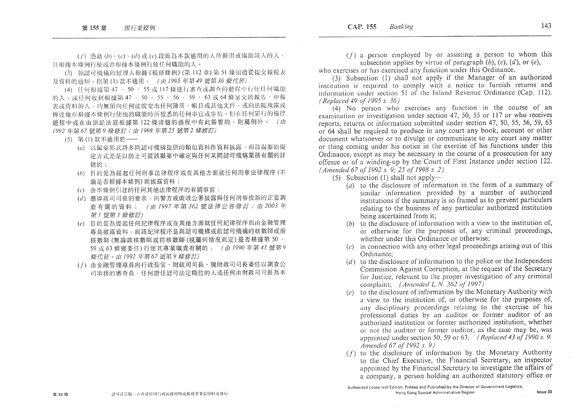(f) 憑藉(b)、(c)、(d)或(e)段而為本款適用的人所僱用或協助該人的人, 且根據本條例行使或會根據本條例行使任何職能的人。

(3) 如認可機構的經理人根據《税務條例》(第112章)第51條須遵從提交報税表 及资料的通知,則第(1)款不適用。 (由1995年第49號第36條代替)

(4) 任何根據第 47 、 50 、 55 或 117 條進行審查或調查的過程中行使任何職能 的人, 或任何收到根據第47、50、55、56、59、63或64條呈交的報告、申報 表或資料的人,均無須向任何法院交出任何簿冊、帳目或其他文件,或向法院洩露或 傳達他在根據本條例行使他的職能時所獲悉的任何事宜或事情,但在任何罪行的檢控 過程中或在由原訟法庭根據第122條清盤的過程中有此需要的,則屬例外。(由 1992年第67號第9條修訂;由1998年第25號第2條修訂)

(5) 第(1)款不適用於––

第30期

- (a) 以撮要形式將多間認可機構提供的類似資料作資料披露,而該撮要的擬 定方式是足以防止可從該撮要中確定與任何某間認可機構業務有關的詳 情的;
- (b) 目的是為提起任何刑事法律程序或在其他方面就任何刑事法律程序(不 論是否根據本條例)而披露資料;
- (c) 由本條例引起的任何其他法律程序的有關事宜;
- (d) 應律政司司長的要求,向警方或廉政公署披露與任何刑事投訴的正當調 查有關的資料; (由1997年第362號法律公告修訂;由2003年 第1號第3條修訂)
- (e) 目的是為提起任何紀律程序或在其他方面就任何紀律程序而由金融管理 專員披露資料,而該紀律程序是與認可機構或前認可機構的核數師或前 核數師(無論該核數師或前核數師(視屬何情況而定)是否根據第50、 59 或 63 條獲委任) 行使其專業職責有關的; (由 1990 年第 43 號第 9 條代替。由1992年第67號第9條修訂)
- (f) 由金融管理專員向行政長官、財政司司長、獲財政司司長委任以調查公 司事務的審查員、任何擔任認可法定職位的人或任何由財政司司長為本

 $(f)$  a person employed by or assisting a person to whom this subsection applies by virtue of paragraph  $(b)$ ,  $(c)$ ,  $(d)$ , or  $(e)$ ,

who exercises or has exercised any function under this Ordinance.

(3) Subsection (1) shall not apply if the Manager of an authorized institution is required to comply with a notice to furnish returns and information under section 51 of the Inland Revenue Ordinance (Cap. 112). (Replaced 49 of 1995 s. 36)

(4) No person who exercises any function in the course of an examination or investigation under section 47, 50, 55 or 117 or who receives reports, returns or information submitted under section 47, 50, 55, 56, 59, 63 or 64 shall be required to produce in any court any book, account or other document whatsoever or to divulge or communicate to any court any matter or thing coming under his notice in the exercise of his functions under this Ordinance, except as may be necessary in the course of a prosecution for any offence or of a winding-up by the Court of First Instance under section 122. (Amended 67 of 1992 s. 9; 25 of 1998 s. 2)

 $(5)$  Subsection (1) shall not apply—

- (a) to the disclosure of information in the form of a summary of similar information provided by a number of authorized institutions if the summary is so framed as to prevent particulars relating to the business of any particular authorized institution being ascertained from it;
- (b) to the disclosure of information with a view to the institution of, or otherwise for the purposes of, any criminal proceedings, whether under this Ordinance or otherwise:
- $(c)$  in connection with any other legal proceedings arising out of this Ordinance:
- $(d)$  to the disclosure of information to the police or the Independent Commission Against Corruption, at the request of the Secretary for Justice, relevant to the proper investigation of any criminal complaint: *(Amended L.N.* 362 of 1997)
- to the disclosure of information by the Monetary Authority with  $(e)$ a view to the institution of, or otherwise for the purposes of, any disciplinary proceedings relating to the exercise of his professional duties by an auditor or former auditor of an authorized institution or former authorized institution, whether or not the auditor or former auditor, as the case may be, was appointed under section 50, 59 or 63; (Replaced 43 of 1990 s. 9. Amended 67 of 1992 s. 9)
- $(f)$  to the disclosure of information by the Monetary Authority to the Chief Executive, the Financial Secretary, an inspector appointed by the Financial Secretary to investigate the affairs of a company, a person holding an authorized statutory office or

Authorized Loose-leaf Edition, Printed and Published by the Director of Government Logistics, Hong Kong Special Administrative Region

143

Issue 30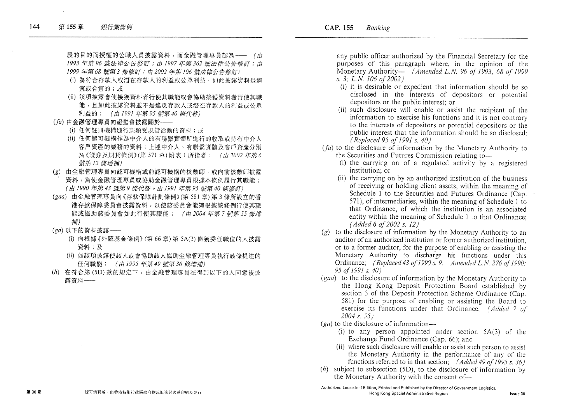段的目的而授權的公職人員披露資料,而金融管理專員認為–– (由 1993年第96號法律公告修訂;由1997年第362號法律公告修訂;由 1999年第68 號第3 條修訂;由2002年第106 號法律公告修訂)

- (i) 為符合存款人或潛在存款人的利益或公眾利益, 如此披露資料是滴 宜或合宜的;或
- (ii) 該項披露會使接獲資料者行使其職能或會協助接獲資料者行使其職 能,且如此披露資料並不是違反存款人或潛在存款人的利益或公眾 利益的; (由1991年第95號第40條代替)
- (fa) 由金融管理專員向證監會披露關於––
	- (i) 任何註冊機構進行某類受規管活動的資料;或
	- (ii) 任何認可機構作為中介人的有聯繫實體所推行的收取或持有中介人 客戶資產的業務的資料;上述中介人、有聯繫實體及客戶資產分別 為《證券及期貨條例》(第571章) 附表 1 所指者; (由2002年第6 號第12條增補)
- (g) 由金融管理專員向認可機構或前認可機構的核數師, 或向前核數師披露 資料,為使金融管理專員或協助金融管理專員根據本條例履行其職能; (由1990年第43號第9條代替。由1991年第95號第40條修訂)
- (gaa) 由金融管理專員向《存款保障計劃條例》(第581章)第3條所設立的香 港存款保障委員會披露資料,以使該委員會能夠根據該條例行使其職 能或協助該委員會如此行使其職能; (由2004年第7號第55條增 補)
- (ga) 以下的资料披露––
	- (i) 向根據《外匯基金條例》(第66章)第5A(3)條獲委任職位的人披露 資料;及
	- (ii) 如該項披露使該人或會協助該人協助金融管理專員執行該條提述的 任何職能; (由1995年第49號第36條增補)
- (h) 在符合第(5D)款的規定下,由金融管理專員在得到以下的人同意後披 露窗料 --

any public officer authorized by the Financial Secretary for the purposes of this paragraph where, in the opinion of the Monetary Authority— (Amended L.N. 96 of  $1993: 68$  of 1999 s. 3; L.N. 106 of 2002)

- (i) it is desirable or expedient that information should be so disclosed in the interests of depositors or potential depositors or the public interest; or
- (ii) such disclosure will enable or assist the recipient of the information to exercise his functions and it is not contrary to the interests of depositors or potential depositors or the public interest that the information should be so disclosed: (Replaced 95 of 1991 s. 40)
- $(h)$  to the disclosure of information by the Monetary Authority to the Securities and Futures Commission relating to-
	- (i) the carrying on of a regulated activity by a registered institution: or
	- (ii) the carrying on by an authorized institution of the business of receiving or holding client assets, within the meaning of Schedule 1 to the Securities and Futures Ordinance (Cap. 571), of intermediaries, within the meaning of Schedule 1 to that Ordinance, of which the institution is an associated entity within the meaning of Schedule 1 to that Ordinance: (Added 6 of 2002 s. 12)
- $(g)$  to the disclosure of information by the Monetary Authority to an auditor of an authorized institution or former authorized institution. or to a former auditor, for the purpose of enabling or assisting the Monetary Authority to discharge his functions under this Ordinance: (Replaced 43 of 1990 s. 9. Amended L.N. 276 of 1990: 95 of 1991 s. 40)
- (gaa) to the disclosure of information by the Monetary Authority to the Hong Kong Deposit Protection Board established by section 3 of the Deposit Protection Scheme Ordinance (Cap. 581) for the purpose of enabling or assisting the Board to exercise its functions under that Ordinance: (Added 7 of  $2004$  s. 55)
- $(ga)$  to the disclosure of information—
	- (i) to any person appointed under section  $5A(3)$  of the Exchange Fund Ordinance (Cap. 66); and
	- (ii) where such disclosure will enable or assist such person to assist the Monetary Authority in the performance of any of the functions referred to in that section; (Added 49 of 1995 s. 36)
- $(h)$  subject to subsection (5D), to the disclosure of information by the Monetary Authority with the consent of-

Authorized Loose-leaf Edition, Printed and Published by the Director of Government Logistics. Hong Kong Special Administrative Region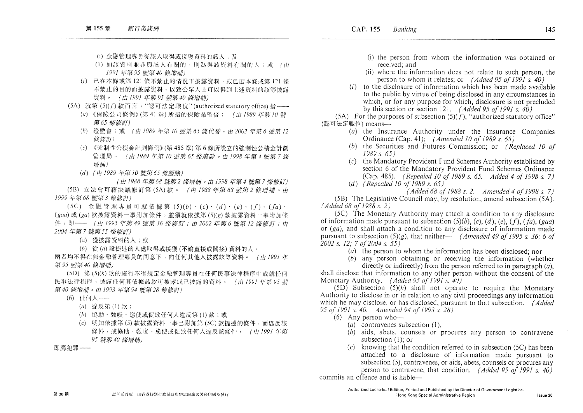- (i) 金融管理專員從該人取得或接獲資料的該人;及
- (ii) 如該資料並非與該人有關的,則為與該資料有關的人;或 (th 1991年第95 號第40 條增補)
- (i) 已在本條或第 121 條不禁止的情況下披露資料, 或已因本條或第 121 條 不禁止的目的而披露資料,以致公眾人士可以得到上述資料的該等披露 資料。 (由1991年第95號第40條增補)
- (5A) 就第(5)(f)款而言, "認可法定職位"(authorized statutory office) 指 —–
	- (a) 《保險公司條例》(第41章) 所指的保險業監督; (由 1989年第10 號 第65 條修訂)
	- (b) 證監會;或 (由1989年第10號第65條代替。由2002年第6號第12 修修訂)
	- (c) 《強制性公積金計劃條例》(第485章)第6條所設立的強制性公積金計劃 管理局。 (由1989年第10號第65條廢除。由1998年第4號第7條 增補)
	- (d) (由 1989年第10 號第65 條廢除)

(由1988年第68號第2條增補。由1998年第4號第7條修訂) (5B) 立法會可藉決議修訂第(5A)款。 (由1988年第68號第2條增補。由 1999年第68號第3條修訂)

(5C) 金融管理專員可就依據第(5)(b)·(c)·(d)·(e)·(f)·(fa)·  $(gaa)$  或 $(ga)$  款披露資料一事附加條件, 並須就依據第 $(5)(g)$  款披露資料一事附加條 件, 即 --- (由 1995 年第 49 號第 36 條修訂; 由 2002 年第 6 號第 12 條修訂; 由 2004年第7號第55條修訂)

- (a) 獲披露資料的人;或
- (b) 從(a)段提述的人處取得或接獲(不論直接或間接)資料的人,

兩者均不得在無金融管理專員的同意下,向任何其他人披露該等資料。 (由 1991年 第95 號第40 條增補)

(5D) 第(5)(h)款的施行不得規定金融管理專員在任何民事法律程序中或就任何 民事法律程序,披露任何其依據該款可披露或已披露的資料。 (山1991年第95號 第40條增補。由1993年第94號第28條修訂)

(6) 任何人 --

- (a) 違反第(1) 款;
- (b) 協助、教唆、慫使或促致任何人違反第(1)款;或
- (c) 明知依據第(5)款披露資料一事已附加第(SC)款提述的條件,而違反該 條件,或協助、教唆、慫使或促致任何人違反該條件, (由1991年第 95 號第40 條增補)

即屬犯罪 --

- (i) the person from whom the information was obtained or received: and
- (ii) where the information does not relate to such person, the person to whom it relates; or  $(Added 95 of 1991 s. 40)$
- $(i)$  to the disclosure of information which has been made available to the public by virtue of being disclosed in any circumstances in which, or for any purpose for which, disclosure is not precluded by this section or section 121. (Added 95 of 1991 s.  $40$ )

(5A) For the purposes of subsection  $(5)(f)$ , "authorized statutory office" (認可法定職位) means-

- (a) the Insurance Authority under the Insurance Companies Ordinance (Cap. 41); (Amended 10 of 1989 s. 65)
- (b) the Securities and Futures Commission; or *(Replaced 10 of*  $1989 s. 65$
- (c) the Mandatory Provident Fund Schemes Authority established by section 6 of the Mandatory Provident Fund Schemes Ordinance (Cap. 485). *(Repealed 10 of 1989 s. 65. Added 4 of 1998 s. 7)*
- (d) (Repealed 10 of 1989 s.  $65$ )

(Added 68 of 1988 s. 2. Amended 4 of 1998 s. 7)

(5B) The Legislative Council may, by resolution, amend subsection  $(5A)$ .  $(Added 68 of 1988 s. 2)$ 

(5C) The Monetary Authority may attach a condition to any disclosure of information made pursuant to subsection  $(5)(b)$ ,  $(c)$ ,  $(d)$ ,  $(e)$ ,  $(f)$ ,  $(fa)$ ,  $(gaa)$ or (ga), and shall attach a condition to any disclosure of information made pursuant to subsection (5)(g), that neither— (Amended 49 of 1995 s, 36: 6 of 2002 s. 12: 7 of 2004 s. 55)

(a) the person to whom the information has been disclosed; nor

 $(b)$  any person obtaining or receiving the information (whether directly or indirectly) from the person referred to in paragraph  $(a)$ . shall disclose that information to any other person without the consent of the

Monetary Authority. (Added 95 of 1991 s. 40)

 $(5D)$  Subsection  $(5)(h)$  shall not operate to require the Monetary Authority to disclose in or in relation to any civil proceedings any information which he may disclose, or has disclosed, pursuant to that subsection. (Added 95 of 1991 s. 40. Amended 94 of 1993 s. 28)

- $(6)$  Any person who-
	- (a) contravenes subsection  $(1)$ ;
	- $(b)$  aids, abets, counsels or procures any person to contravene subsection  $(1)$ : or
	- $(c)$  knowing that the condition referred to in subsection (5C) has been attached to a disclosure of information made pursuant to subsection (5), contravenes, or aids, abets, counsels or procures any person to contravene, that condition, (Added 95 of 1991 s, 40)

commits an offence and is liable—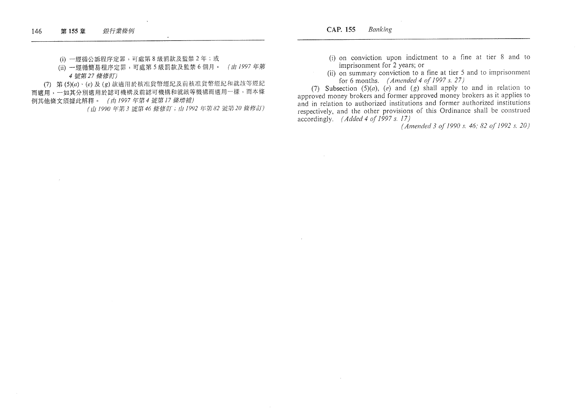(i) 一經循公訴程序定罪,可處第8級罰款及監禁2年;或

(ii) 一經循簡易程序定罪,可處第5級罰款及監禁6個月。 (由1997年第 4 號第27 條修訂)

(7) 第(5)(a)、(e)及(g)款適用於核准貨幣經紀及前核准貨幣經紀和就該等經紀 而適用,一如其分別適用於認可機構及前認可機構和就該等機構而適用一樣,而本條 例其他條文須據此解釋。 (由1997年第4號第17條增補)

(山1990年第3號第46條修訂;山1992年第82號第20條修訂)

- (i) on conviction upon indictment to a fine at tier 8 and to imprisonment for 2 years; or
- (ii) on summary conviction to a fine at tier 5 and to imprisonment for 6 months. (Amended 4 of 1997 s. 27)

(7) Subsection  $(5)(a)$ ,  $(e)$  and  $(g)$  shall apply to and in relation to approved money brokers and former approved money brokers as it applies to and in relation to authorized institutions and former authorized institutions respectively, and the other provisions of this Ordinance shall be construed accordingly. (Added 4 of 1997 s. 17)

(Amended 3 of 1990 s. 46; 82 of 1992 s. 20)